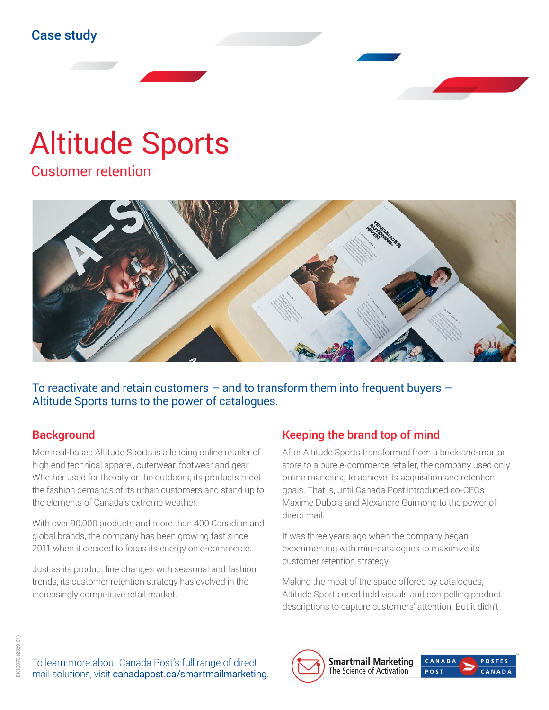# Altitude Sports

Customer retention



To reactivate and retain customers – and to transform them into frequent buyers – Altitude Sports turns to the power of catalogues.

#### **Background**

Montreal-based Altitude Sports is a leading online retailer of high end technical apparel, outerwear, footwear and gear. Whether used for the city or the outdoors, its products meet the fashion demands of its urban customers and stand up to the elements of Canada's extreme weather.

With over 90,000 products and more than 400 Canadian and global brands, the company has been growing fast since 2011 when it decided to focus its energy on e-commerce.

Just as its product line changes with seasonal and fashion trends, its customer retention strategy has evolved in the increasingly competitive retail market.

## Keeping the brand top of mind

After Altitude Sports transformed from a brick-and-mortar store to a pure e-commerce retailer, the company used only online marketing to achieve its acquisition and retention goals. That is, until Canada Post introduced co-CEOs Maxime Dubois and Alexandre Guimond to the power of direct mail.

It was three years ago when the company began experimenting with mini-catalogues to maximize its customer retention strategy.

Making the most of the space offered by catalogues, Altitude Sports used bold visuals and compelling product descriptions to capture customers' attention. But it didn't